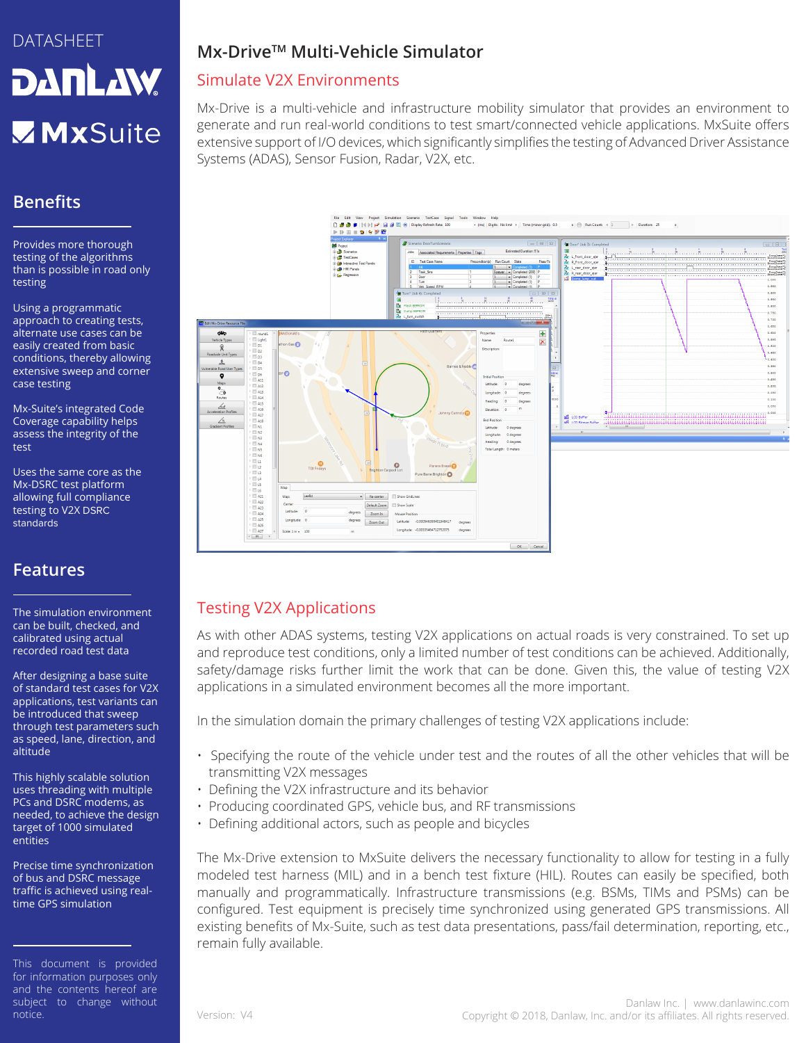# DATASHEET **DANLAW MxSuite**

# **Benefits**

Provides more thorough testing of the algorithms than is possible in road only testing

Using a programmatic approach to creating tests, alternate use cases can be easily created from basic conditions, thereby allowing extensive sweep and corner case testing

Mx-Suite's integrated Code Coverage capability helps assess the integrity of the test

Uses the same core as the Mx-DSRC test platform allowing full compliance testing to V2X DSRC standards

### **Features**

The simulation environment can be built, checked, and calibrated using actual recorded road test data

After designing a base suite of standard test cases for V2X applications, test variants can be introduced that sweep through test parameters such as speed, lane, direction, and altitude

This highly scalable solution uses threading with multiple PCs and DSRC modems, as needed, to achieve the design target of 1000 simulated entities

Precise time synchronization of bus and DSRC message traffic is achieved using realtime GPS simulation

# **Mx-DriveTM Multi-Vehicle Simulator**

### Simulate V2X Environments

Mx-Drive is a multi-vehicle and infrastructure mobility simulator that provides an environment to generate and run real-world conditions to test smart/connected vehicle applications. MxSuite offers extensive support of I/O devices, which significantly simplifies the testing of Advanced Driver Assistance Systems (ADAS), Sensor Fusion, Radar, V2X, etc.



### Testing V2X Applications

As with other ADAS systems, testing V2X applications on actual roads is very constrained. To set up and reproduce test conditions, only a limited number of test conditions can be achieved. Additionally, safety/damage risks further limit the work that can be done. Given this, the value of testing V2X applications in a simulated environment becomes all the more important.

In the simulation domain the primary challenges of testing V2X applications include:

- Specifying the route of the vehicle under test and the routes of all the other vehicles that will be transmitting V2X messages
- Defining the V2X infrastructure and its behavior
- Producing coordinated GPS, vehicle bus, and RF transmissions
- Defining additional actors, such as people and bicycles

The Mx-Drive extension to MxSuite delivers the necessary functionality to allow for testing in a fully modeled test harness (MIL) and in a bench test fixture (HIL). Routes can easily be specified, both manually and programmatically. Infrastructure transmissions (e.g. BSMs, TIMs and PSMs) can be configured. Test equipment is precisely time synchronized using generated GPS transmissions. All existing benefits of Mx-Suite, such as test data presentations, pass/fail determination, reporting, etc., remain fully available.

This document is provided for information purposes only and the contents hereof are subject to change without notice.